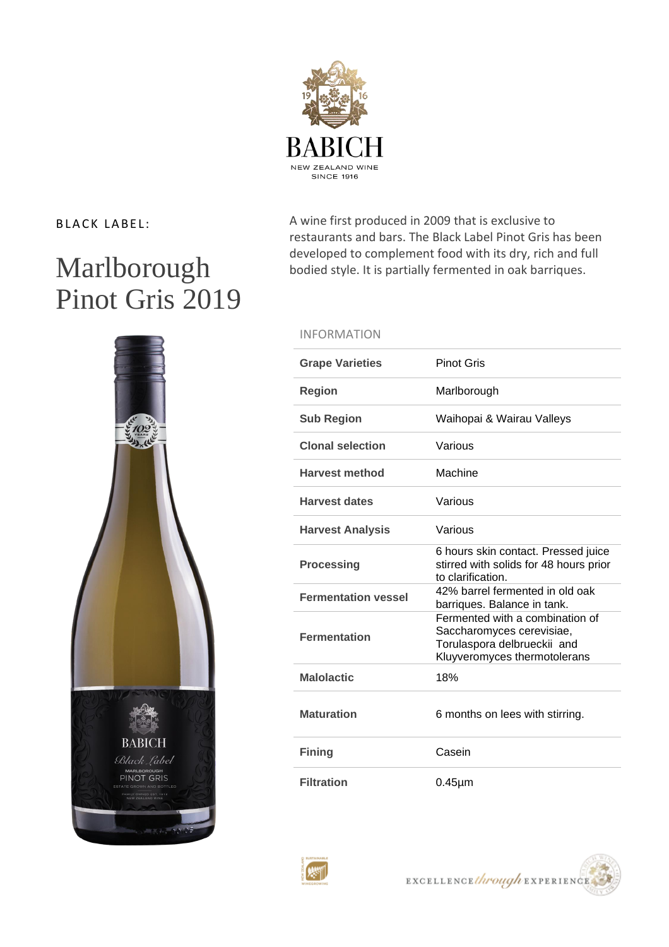

# Marlborough Pinot Gris 2019

**BABICH** Black Label MARLBOROUGH<br>PINOT GRIS 

BLACK LABEL: A wine first produced in 2009 that is exclusive to restaurants and bars. The Black Label Pinot Gris has been developed to complement food with its dry, rich and full bodied style. It is partially fermented in oak barriques.

## INFORMATION

| <b>Grape Varieties</b>     | <b>Pinot Gris</b>                                                                                                           |
|----------------------------|-----------------------------------------------------------------------------------------------------------------------------|
| <b>Region</b>              | Marlborough                                                                                                                 |
| <b>Sub Region</b>          | Waihopai & Wairau Valleys                                                                                                   |
| <b>Clonal selection</b>    | Various                                                                                                                     |
| <b>Harvest method</b>      | Machine                                                                                                                     |
| <b>Harvest dates</b>       | Various                                                                                                                     |
| <b>Harvest Analysis</b>    | Various                                                                                                                     |
| <b>Processing</b>          | 6 hours skin contact. Pressed juice<br>stirred with solids for 48 hours prior<br>to clarification.                          |
| <b>Fermentation vessel</b> | 42% barrel fermented in old oak<br>barriques. Balance in tank.                                                              |
| <b>Fermentation</b>        | Fermented with a combination of<br>Saccharomyces cerevisiae,<br>Torulaspora delbrueckii and<br>Kluyveromyces thermotolerans |
| <b>Malolactic</b>          | 18%                                                                                                                         |
| <b>Maturation</b>          | 6 months on lees with stirring.                                                                                             |
| <b>Fining</b>              | Casein                                                                                                                      |
| <b>Filtration</b>          | $0.45 \mu m$                                                                                                                |



EXCELLENCE through EXPERIENCE